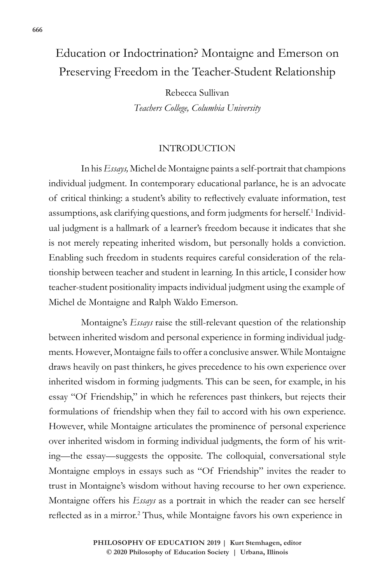# Education or Indoctrination? Montaigne and Emerson on Preserving Freedom in the Teacher-Student Relationship

Rebecca Sullivan *Teachers College, Columbia University*

#### INTRODUCTION

In his *Essays,* Michel de Montaigne paints a self-portrait that champions individual judgment. In contemporary educational parlance, he is an advocate of critical thinking: a student's ability to reflectively evaluate information, test assumptions, ask clarifying questions, and form judgments for herself.<sup>1</sup> Individual judgment is a hallmark of a learner's freedom because it indicates that she is not merely repeating inherited wisdom, but personally holds a conviction. Enabling such freedom in students requires careful consideration of the relationship between teacher and student in learning. In this article, I consider how teacher-student positionality impacts individual judgment using the example of Michel de Montaigne and Ralph Waldo Emerson.

Montaigne's *Essays* raise the still-relevant question of the relationship between inherited wisdom and personal experience in forming individual judgments. However, Montaigne fails to offer a conclusive answer. While Montaigne draws heavily on past thinkers, he gives precedence to his own experience over inherited wisdom in forming judgments. This can be seen, for example, in his essay "Of Friendship," in which he references past thinkers, but rejects their formulations of friendship when they fail to accord with his own experience. However, while Montaigne articulates the prominence of personal experience over inherited wisdom in forming individual judgments, the form of his writing—the essay—suggests the opposite. The colloquial, conversational style Montaigne employs in essays such as "Of Friendship" invites the reader to trust in Montaigne's wisdom without having recourse to her own experience. Montaigne offers his *Essays* as a portrait in which the reader can see herself reflected as in a mirror.<sup>2</sup> Thus, while Montaigne favors his own experience in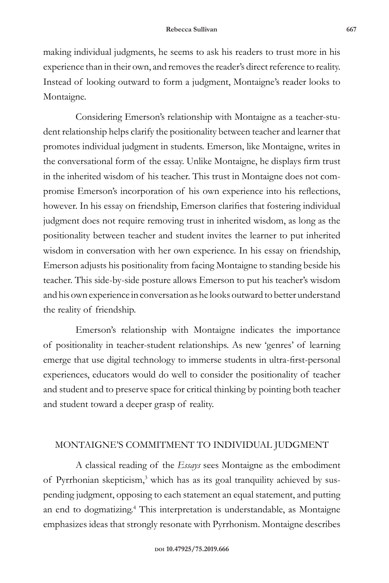making individual judgments, he seems to ask his readers to trust more in his experience than in their own, and removes the reader's direct reference to reality. Instead of looking outward to form a judgment, Montaigne's reader looks to Montaigne.

Considering Emerson's relationship with Montaigne as a teacher-student relationship helps clarify the positionality between teacher and learner that promotes individual judgment in students. Emerson, like Montaigne, writes in the conversational form of the essay. Unlike Montaigne, he displays firm trust in the inherited wisdom of his teacher. This trust in Montaigne does not compromise Emerson's incorporation of his own experience into his reflections, however. In his essay on friendship, Emerson clarifies that fostering individual judgment does not require removing trust in inherited wisdom, as long as the positionality between teacher and student invites the learner to put inherited wisdom in conversation with her own experience. In his essay on friendship, Emerson adjusts his positionality from facing Montaigne to standing beside his teacher. This side-by-side posture allows Emerson to put his teacher's wisdom and his own experience in conversation as he looks outward to better understand the reality of friendship.

Emerson's relationship with Montaigne indicates the importance of positionality in teacher-student relationships. As new 'genres' of learning emerge that use digital technology to immerse students in ultra-first-personal experiences, educators would do well to consider the positionality of teacher and student and to preserve space for critical thinking by pointing both teacher and student toward a deeper grasp of reality.

### MONTAIGNE'S COMMITMENT TO INDIVIDUAL JUDGMENT

A classical reading of the *Essays* sees Montaigne as the embodiment of Pyrrhonian skepticism,<sup>3</sup> which has as its goal tranquility achieved by suspending judgment, opposing to each statement an equal statement, and putting an end to dogmatizing.<sup>4</sup> This interpretation is understandable, as Montaigne emphasizes ideas that strongly resonate with Pyrrhonism. Montaigne describes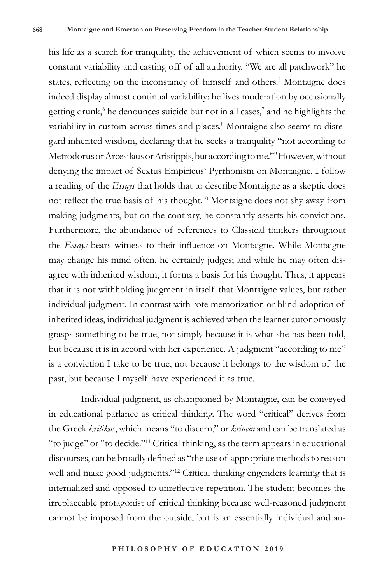his life as a search for tranquility, the achievement of which seems to involve constant variability and casting off of all authority. "We are all patchwork" he states, reflecting on the inconstancy of himself and others.<sup>5</sup> Montaigne does indeed display almost continual variability: he lives moderation by occasionally getting drunk,<sup>6</sup> he denounces suicide but not in all cases,<sup>7</sup> and he highlights the variability in custom across times and places.<sup>8</sup> Montaigne also seems to disregard inherited wisdom, declaring that he seeks a tranquility "not according to Metrodorus or Arcesilaus or Aristippis, but according to me."9 However, without denying the impact of Sextus Empiricus' Pyrrhonism on Montaigne, I follow a reading of the *Essays* that holds that to describe Montaigne as a skeptic does not reflect the true basis of his thought.10 Montaigne does not shy away from making judgments, but on the contrary, he constantly asserts his convictions. Furthermore, the abundance of references to Classical thinkers throughout the *Essays* bears witness to their influence on Montaigne. While Montaigne may change his mind often, he certainly judges; and while he may often disagree with inherited wisdom, it forms a basis for his thought. Thus, it appears that it is not withholding judgment in itself that Montaigne values, but rather individual judgment. In contrast with rote memorization or blind adoption of inherited ideas, individual judgment is achieved when the learner autonomously grasps something to be true, not simply because it is what she has been told, but because it is in accord with her experience. A judgment "according to me" is a conviction I take to be true, not because it belongs to the wisdom of the past, but because I myself have experienced it as true.

Individual judgment, as championed by Montaigne, can be conveyed in educational parlance as critical thinking. The word "critical" derives from the Greek *kritikos*, which means "to discern," or *krinein* and can be translated as "to judge" or "to decide."11 Critical thinking, as the term appears in educational discourses, can be broadly defined as "the use of appropriate methods to reason well and make good judgments."<sup>12</sup> Critical thinking engenders learning that is internalized and opposed to unreflective repetition. The student becomes the irreplaceable protagonist of critical thinking because well-reasoned judgment cannot be imposed from the outside, but is an essentially individual and au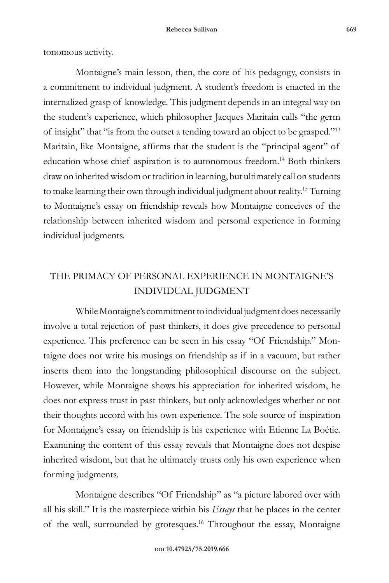tonomous activity.

Montaigne's main lesson, then, the core of his pedagogy, consists in a commitment to individual judgment. A student's freedom is enacted in the internalized grasp of knowledge. This judgment depends in an integral way on the student's experience, which philosopher Jacques Maritain calls "the germ of insight" that "is from the outset a tending toward an object to be grasped."13 Maritain, like Montaigne, affirms that the student is the "principal agent" of education whose chief aspiration is to autonomous freedom.14 Both thinkers draw on inherited wisdom or tradition in learning, but ultimately call on students to make learning their own through individual judgment about reality.15 Turning to Montaigne's essay on friendship reveals how Montaigne conceives of the relationship between inherited wisdom and personal experience in forming individual judgments.

## THE PRIMACY OF PERSONAL EXPERIENCE IN MONTAIGNE'S INDIVIDUAL JUDGMENT

While Montaigne's commitment to individual judgment does necessarily involve a total rejection of past thinkers, it does give precedence to personal experience. This preference can be seen in his essay "Of Friendship." Montaigne does not write his musings on friendship as if in a vacuum, but rather inserts them into the longstanding philosophical discourse on the subject. However, while Montaigne shows his appreciation for inherited wisdom, he does not express trust in past thinkers, but only acknowledges whether or not their thoughts accord with his own experience. The sole source of inspiration for Montaigne's essay on friendship is his experience with Etienne La Boétie. Examining the content of this essay reveals that Montaigne does not despise inherited wisdom, but that he ultimately trusts only his own experience when forming judgments.

Montaigne describes "Of Friendship" as "a picture labored over with all his skill." It is the masterpiece within his *Essays* that he places in the center of the wall, surrounded by grotesques.16 Throughout the essay, Montaigne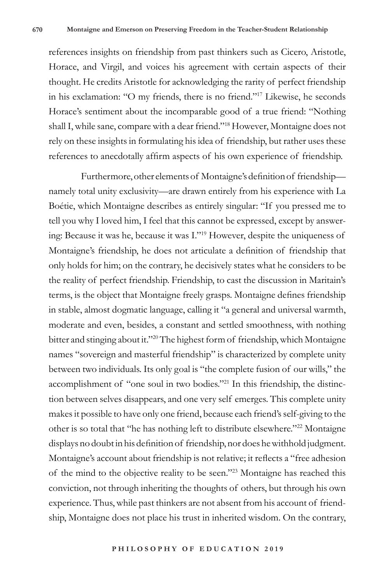references insights on friendship from past thinkers such as Cicero, Aristotle, Horace, and Virgil, and voices his agreement with certain aspects of their thought. He credits Aristotle for acknowledging the rarity of perfect friendship in his exclamation: "O my friends, there is no friend."17 Likewise, he seconds Horace's sentiment about the incomparable good of a true friend: "Nothing shall I, while sane, compare with a dear friend."18 However, Montaigne does not rely on these insights in formulating his idea of friendship, but rather uses these references to anecdotally affirm aspects of his own experience of friendship.

Furthermore, other elements of Montaigne's definition of friendship namely total unity exclusivity—are drawn entirely from his experience with La Boétie, which Montaigne describes as entirely singular: "If you pressed me to tell you why I loved him, I feel that this cannot be expressed, except by answering: Because it was he, because it was I."19 However, despite the uniqueness of Montaigne's friendship, he does not articulate a definition of friendship that only holds for him; on the contrary, he decisively states what he considers to be the reality of perfect friendship. Friendship, to cast the discussion in Maritain's terms, is the object that Montaigne freely grasps. Montaigne defines friendship in stable, almost dogmatic language, calling it "a general and universal warmth, moderate and even, besides, a constant and settled smoothness, with nothing bitter and stinging about it."20 The highest form of friendship, which Montaigne names "sovereign and masterful friendship" is characterized by complete unity between two individuals. Its only goal is "the complete fusion of our wills," the accomplishment of "one soul in two bodies."21 In this friendship, the distinction between selves disappears, and one very self emerges. This complete unity makes it possible to have only one friend, because each friend's self-giving to the other is so total that "he has nothing left to distribute elsewhere."22 Montaigne displays no doubt in his definition of friendship, nor does he withhold judgment. Montaigne's account about friendship is not relative; it reflects a "free adhesion of the mind to the objective reality to be seen."23 Montaigne has reached this conviction, not through inheriting the thoughts of others, but through his own experience. Thus, while past thinkers are not absent from his account of friendship, Montaigne does not place his trust in inherited wisdom. On the contrary,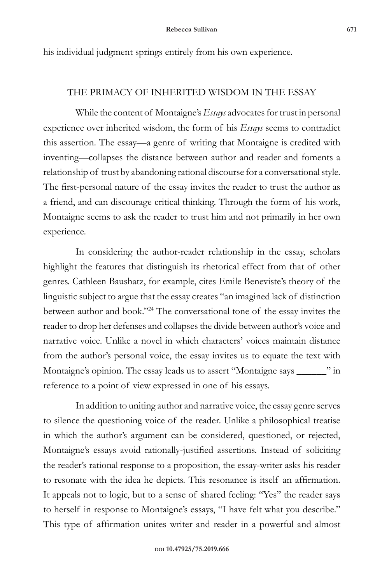his individual judgment springs entirely from his own experience.

#### THE PRIMACY OF INHERITED WISDOM IN THE ESSAY

While the content of Montaigne's *Essays* advocates for trust in personal experience over inherited wisdom, the form of his *Essays* seems to contradict this assertion. The essay—a genre of writing that Montaigne is credited with inventing—collapses the distance between author and reader and foments a relationship of trust by abandoning rational discourse for a conversational style. The first-personal nature of the essay invites the reader to trust the author as a friend, and can discourage critical thinking. Through the form of his work, Montaigne seems to ask the reader to trust him and not primarily in her own experience.

In considering the author-reader relationship in the essay, scholars highlight the features that distinguish its rhetorical effect from that of other genres. Cathleen Baushatz, for example, cites Emile Beneviste's theory of the linguistic subject to argue that the essay creates "an imagined lack of distinction between author and book."24 The conversational tone of the essay invites the reader to drop her defenses and collapses the divide between author's voice and narrative voice. Unlike a novel in which characters' voices maintain distance from the author's personal voice, the essay invites us to equate the text with Montaigne's opinion. The essay leads us to assert "Montaigne says \_\_\_\_\_\_" in reference to a point of view expressed in one of his essays.

In addition to uniting author and narrative voice, the essay genre serves to silence the questioning voice of the reader. Unlike a philosophical treatise in which the author's argument can be considered, questioned, or rejected, Montaigne's essays avoid rationally-justified assertions. Instead of soliciting the reader's rational response to a proposition, the essay-writer asks his reader to resonate with the idea he depicts. This resonance is itself an affirmation. It appeals not to logic, but to a sense of shared feeling: "Yes" the reader says to herself in response to Montaigne's essays, "I have felt what you describe." This type of affirmation unites writer and reader in a powerful and almost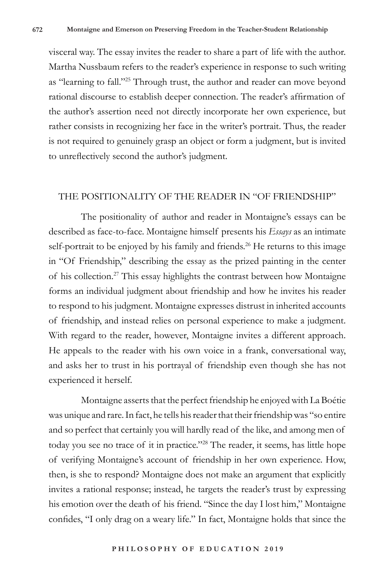visceral way. The essay invites the reader to share a part of life with the author. Martha Nussbaum refers to the reader's experience in response to such writing as "learning to fall."25 Through trust, the author and reader can move beyond rational discourse to establish deeper connection. The reader's affirmation of the author's assertion need not directly incorporate her own experience, but rather consists in recognizing her face in the writer's portrait. Thus, the reader is not required to genuinely grasp an object or form a judgment, but is invited to unreflectively second the author's judgment.

#### THE POSITIONALITY OF THE READER IN "OF FRIENDSHIP"

The positionality of author and reader in Montaigne's essays can be described as face-to-face. Montaigne himself presents his *Essays* as an intimate self-portrait to be enjoyed by his family and friends.<sup>26</sup> He returns to this image in "Of Friendship," describing the essay as the prized painting in the center of his collection.27 This essay highlights the contrast between how Montaigne forms an individual judgment about friendship and how he invites his reader to respond to his judgment. Montaigne expresses distrust in inherited accounts of friendship, and instead relies on personal experience to make a judgment. With regard to the reader, however, Montaigne invites a different approach. He appeals to the reader with his own voice in a frank, conversational way, and asks her to trust in his portrayal of friendship even though she has not experienced it herself.

Montaigne asserts that the perfect friendship he enjoyed with La Boétie was unique and rare. In fact, he tells his reader that their friendship was "so entire and so perfect that certainly you will hardly read of the like, and among men of today you see no trace of it in practice."<sup>28</sup> The reader, it seems, has little hope of verifying Montaigne's account of friendship in her own experience. How, then, is she to respond? Montaigne does not make an argument that explicitly invites a rational response; instead, he targets the reader's trust by expressing his emotion over the death of his friend. "Since the day I lost him," Montaigne confides, "I only drag on a weary life." In fact, Montaigne holds that since the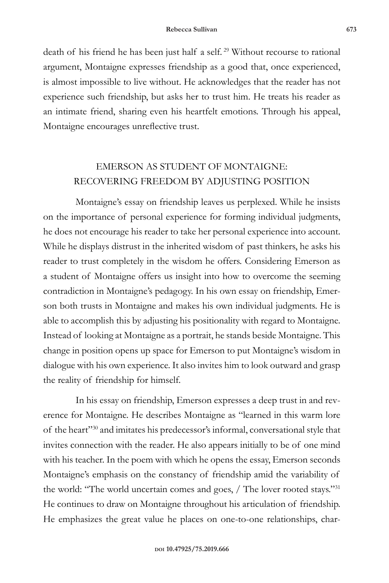death of his friend he has been just half a self.<sup>29</sup> Without recourse to rational argument, Montaigne expresses friendship as a good that, once experienced, is almost impossible to live without. He acknowledges that the reader has not experience such friendship, but asks her to trust him. He treats his reader as an intimate friend, sharing even his heartfelt emotions. Through his appeal, Montaigne encourages unreflective trust.

### EMERSON AS STUDENT OF MONTAIGNE: RECOVERING FREEDOM BY ADJUSTING POSITION

Montaigne's essay on friendship leaves us perplexed. While he insists on the importance of personal experience for forming individual judgments, he does not encourage his reader to take her personal experience into account. While he displays distrust in the inherited wisdom of past thinkers, he asks his reader to trust completely in the wisdom he offers. Considering Emerson as a student of Montaigne offers us insight into how to overcome the seeming contradiction in Montaigne's pedagogy. In his own essay on friendship, Emerson both trusts in Montaigne and makes his own individual judgments. He is able to accomplish this by adjusting his positionality with regard to Montaigne. Instead of looking at Montaigne as a portrait, he stands beside Montaigne. This change in position opens up space for Emerson to put Montaigne's wisdom in dialogue with his own experience. It also invites him to look outward and grasp the reality of friendship for himself.

In his essay on friendship, Emerson expresses a deep trust in and reverence for Montaigne. He describes Montaigne as "learned in this warm lore of the heart"30 and imitates his predecessor's informal, conversational style that invites connection with the reader. He also appears initially to be of one mind with his teacher. In the poem with which he opens the essay, Emerson seconds Montaigne's emphasis on the constancy of friendship amid the variability of the world: "The world uncertain comes and goes, / The lover rooted stays."31 He continues to draw on Montaigne throughout his articulation of friendship. He emphasizes the great value he places on one-to-one relationships, char-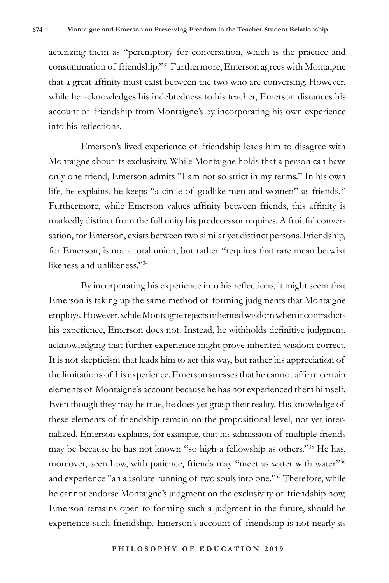acterizing them as "peremptory for conversation, which is the practice and consummation of friendship."32 Furthermore, Emerson agrees with Montaigne that a great affinity must exist between the two who are conversing. However, while he acknowledges his indebtedness to his teacher, Emerson distances his account of friendship from Montaigne's by incorporating his own experience into his reflections.

Emerson's lived experience of friendship leads him to disagree with Montaigne about its exclusivity. While Montaigne holds that a person can have only one friend, Emerson admits "I am not so strict in my terms." In his own life, he explains, he keeps "a circle of godlike men and women" as friends.<sup>33</sup> Furthermore, while Emerson values affinity between friends, this affinity is markedly distinct from the full unity his predecessor requires. A fruitful conversation, for Emerson, exists between two similar yet distinct persons. Friendship, for Emerson, is not a total union, but rather "requires that rare mean betwixt likeness and unlikeness."34

By incorporating his experience into his reflections, it might seem that Emerson is taking up the same method of forming judgments that Montaigne employs. However, while Montaigne rejects inherited wisdom when it contradicts his experience, Emerson does not. Instead, he withholds definitive judgment, acknowledging that further experience might prove inherited wisdom correct. It is not skepticism that leads him to act this way, but rather his appreciation of the limitations of his experience. Emerson stresses that he cannot affirm certain elements of Montaigne's account because he has not experienced them himself. Even though they may be true, he does yet grasp their reality. His knowledge of these elements of friendship remain on the propositional level, not yet internalized. Emerson explains, for example, that his admission of multiple friends may be because he has not known "so high a fellowship as others."35 He has, moreover, seen how, with patience, friends may "meet as water with water"36 and experience "an absolute running of two souls into one."37 Therefore, while he cannot endorse Montaigne's judgment on the exclusivity of friendship now, Emerson remains open to forming such a judgment in the future, should he experience such friendship. Emerson's account of friendship is not nearly as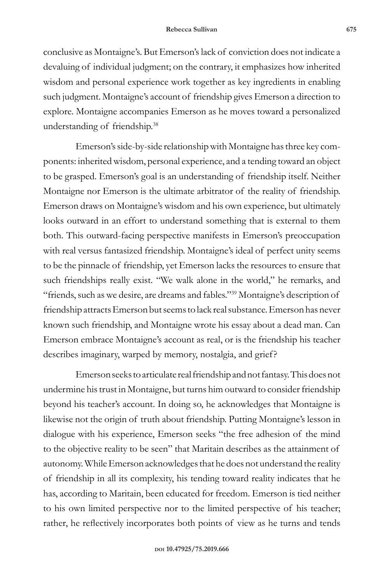conclusive as Montaigne's. But Emerson's lack of conviction does not indicate a devaluing of individual judgment; on the contrary, it emphasizes how inherited wisdom and personal experience work together as key ingredients in enabling such judgment. Montaigne's account of friendship gives Emerson a direction to explore. Montaigne accompanies Emerson as he moves toward a personalized understanding of friendship.38

Emerson's side-by-side relationship with Montaigne has three key components: inherited wisdom, personal experience, and a tending toward an object to be grasped. Emerson's goal is an understanding of friendship itself. Neither Montaigne nor Emerson is the ultimate arbitrator of the reality of friendship. Emerson draws on Montaigne's wisdom and his own experience, but ultimately looks outward in an effort to understand something that is external to them both. This outward-facing perspective manifests in Emerson's preoccupation with real versus fantasized friendship. Montaigne's ideal of perfect unity seems to be the pinnacle of friendship, yet Emerson lacks the resources to ensure that such friendships really exist. "We walk alone in the world," he remarks, and "friends, such as we desire, are dreams and fables."39 Montaigne's description of friendship attracts Emerson but seems to lack real substance. Emerson has never known such friendship, and Montaigne wrote his essay about a dead man. Can Emerson embrace Montaigne's account as real, or is the friendship his teacher describes imaginary, warped by memory, nostalgia, and grief?

Emerson seeks to articulate real friendship and not fantasy. This does not undermine his trust in Montaigne, but turns him outward to consider friendship beyond his teacher's account. In doing so, he acknowledges that Montaigne is likewise not the origin of truth about friendship. Putting Montaigne's lesson in dialogue with his experience, Emerson seeks "the free adhesion of the mind to the objective reality to be seen" that Maritain describes as the attainment of autonomy. While Emerson acknowledges that he does not understand the reality of friendship in all its complexity, his tending toward reality indicates that he has, according to Maritain, been educated for freedom. Emerson is tied neither to his own limited perspective nor to the limited perspective of his teacher; rather, he reflectively incorporates both points of view as he turns and tends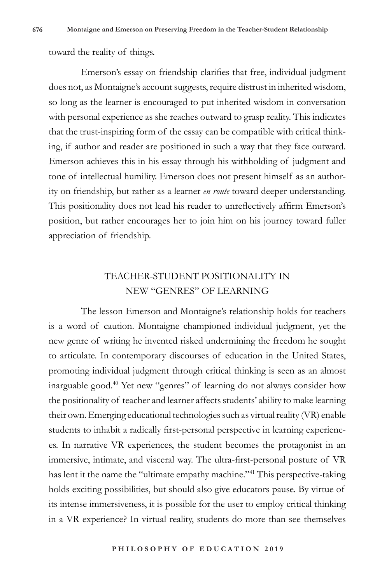toward the reality of things.

Emerson's essay on friendship clarifies that free, individual judgment does not, as Montaigne's account suggests, require distrust in inherited wisdom, so long as the learner is encouraged to put inherited wisdom in conversation with personal experience as she reaches outward to grasp reality. This indicates that the trust-inspiring form of the essay can be compatible with critical thinking, if author and reader are positioned in such a way that they face outward. Emerson achieves this in his essay through his withholding of judgment and tone of intellectual humility. Emerson does not present himself as an authority on friendship, but rather as a learner *en route* toward deeper understanding. This positionality does not lead his reader to unreflectively affirm Emerson's position, but rather encourages her to join him on his journey toward fuller appreciation of friendship.

### TEACHER-STUDENT POSITIONALITY IN NEW "GENRES" OF LEARNING

The lesson Emerson and Montaigne's relationship holds for teachers is a word of caution. Montaigne championed individual judgment, yet the new genre of writing he invented risked undermining the freedom he sought to articulate. In contemporary discourses of education in the United States, promoting individual judgment through critical thinking is seen as an almost inarguable good.40 Yet new "genres" of learning do not always consider how the positionality of teacher and learner affects students' ability to make learning their own. Emerging educational technologies such as virtual reality (VR) enable students to inhabit a radically first-personal perspective in learning experiences. In narrative VR experiences, the student becomes the protagonist in an immersive, intimate, and visceral way. The ultra-first-personal posture of VR has lent it the name the "ultimate empathy machine."<sup>41</sup> This perspective-taking holds exciting possibilities, but should also give educators pause. By virtue of its intense immersiveness, it is possible for the user to employ critical thinking in a VR experience? In virtual reality, students do more than see themselves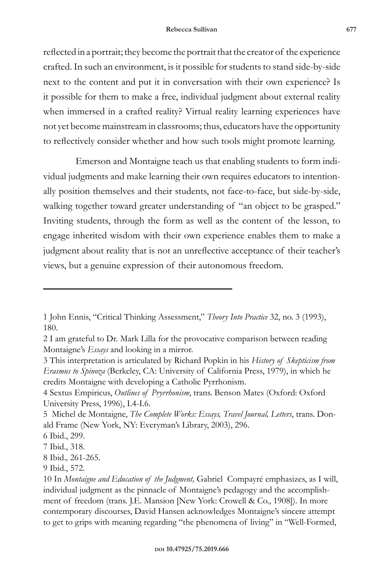reflected in a portrait; they become the portrait that the creator of the experience crafted. In such an environment, is it possible for students to stand side-by-side next to the content and put it in conversation with their own experience? Is it possible for them to make a free, individual judgment about external reality when immersed in a crafted reality? Virtual reality learning experiences have not yet become mainstream in classrooms; thus, educators have the opportunity to reflectively consider whether and how such tools might promote learning.

Emerson and Montaigne teach us that enabling students to form individual judgments and make learning their own requires educators to intentionally position themselves and their students, not face-to-face, but side-by-side, walking together toward greater understanding of "an object to be grasped." Inviting students, through the form as well as the content of the lesson, to engage inherited wisdom with their own experience enables them to make a judgment about reality that is not an unreflective acceptance of their teacher's views, but a genuine expression of their autonomous freedom.

<sup>1</sup> John Ennis, "Critical Thinking Assessment," *Theory Into Practice* 32, no. 3 (1993), 180.

<sup>2</sup> I am grateful to Dr. Mark Lilla for the provocative comparison between reading Montaigne's *Essays* and looking in a mirror.

<sup>3</sup> This interpretation is articulated by Richard Popkin in his *History of Skepticism from Erasmus to Spinoza* (Berkeley, CA: University of California Press, 1979), in which he credits Montaigne with developing a Catholic Pyrrhonism.

<sup>4</sup> Sextus Empiricus, *Outlines of Pryrrhonism*, trans. Benson Mates (Oxford: Oxford University Press, 1996), I.4-I.6.

<sup>5</sup> Michel de Montaigne, *The Complete Works: Essays, Travel Journal, Letters*, trans. Donald Frame (New York, NY: Everyman's Library, 2003), 296.

<sup>6</sup> Ibid., 299.

<sup>7</sup> Ibid., 318.

<sup>8</sup> Ibid.*,* 261-265.

<sup>9</sup> Ibid., 572.

<sup>10</sup> In *Montaigne and Education of the Judgment,* Gabriel Compayré emphasizes, as I will, individual judgment as the pinnacle of Montaigne's pedagogy and the accomplishment of freedom (trans. J.E. Mansion [New York: Crowell & Co., 1908]). In more contemporary discourses, David Hansen acknowledges Montaigne's sincere attempt to get to grips with meaning regarding "the phenomena of living" in "Well-Formed,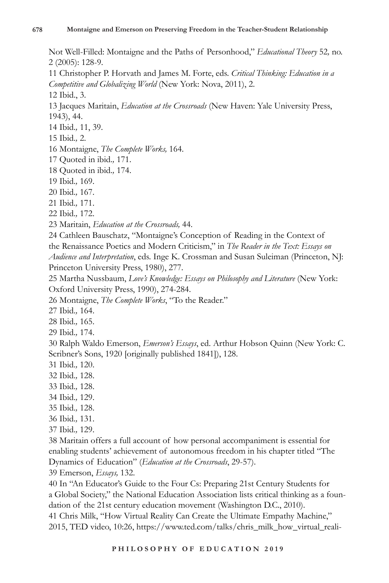Not Well-Filled: Montaigne and the Paths of Personhood," *Educational Theory* 52*,* no. 2 (2005): 128-9.

11 Christopher P. Horvath and James M. Forte, eds. *Critical Thinking: Education in a Competitive and Globalizing World* (New York: Nova, 2011), 2.

12 Ibid., 3.

13 Jacques Maritain, *Education at the Crossroads* (New Haven: Yale University Press, 1943), 44.

- 14 Ibid.*,* 11, 39.
- 15 Ibid.*,* 2.
- 16 Montaigne, *The Complete Works,* 164.
- 17 Quoted in ibid.*,* 171.
- 18 Quoted in ibid.*,* 174.
- 19 Ibid.*,* 169.
- 20 Ibid.*,* 167.
- 21 Ibid.*,* 171.
- 22 Ibid.*,* 172.
- 23 Maritain, *Education at the Crossroads,* 44.

24 Cathleen Bauschatz, "Montaigne's Conception of Reading in the Context of the Renaissance Poetics and Modern Criticism," in *The Reader in the Text: Essays on Audience and Interpretation*, eds. Inge K. Crossman and Susan Suleiman (Princeton, NJ: Princeton University Press, 1980), 277.

- 25 Martha Nussbaum, *Love's Knowledge: Essays on Philosophy and Literature* (New York: Oxford University Press, 1990), 274-284.
- 26 Montaigne, *The Complete Works*, "To the Reader."
- 27 Ibid.*,* 164.
- 28 Ibid.*,* 165.
- 29 Ibid.*,* 174.

30 Ralph Waldo Emerson, *Emerson's Essays*, ed. Arthur Hobson Quinn (New York: C. Scribner's Sons, 1920 [originally published 1841]), 128.

- 31 Ibid.*,* 120.
- 32 Ibid.*,* 128.
- 33 Ibid.*,* 128.
- 34 Ibid.*,* 129.
- 35 Ibid.*,* 128.
- 36 Ibid.*,* 131.
- 37 Ibid.*,* 129.

38 Maritain offers a full account of how personal accompaniment is essential for enabling students' achievement of autonomous freedom in his chapter titled "The Dynamics of Education" (*Education at the Crossroads*, 29-57).

39 Emerson, *Essays,* 132.

40 In "An Educator's Guide to the Four Cs: Preparing 21st Century Students for a Global Society," the National Education Association lists critical thinking as a foundation of the 21st century education movement (Washington D.C., 2010). 41 Chris Milk, "How Virtual Reality Can Create the Ultimate Empathy Machine,"

2015, TED video, 10:26, https://www.ted.com/talks/chris\_milk\_how\_virtual\_reali-